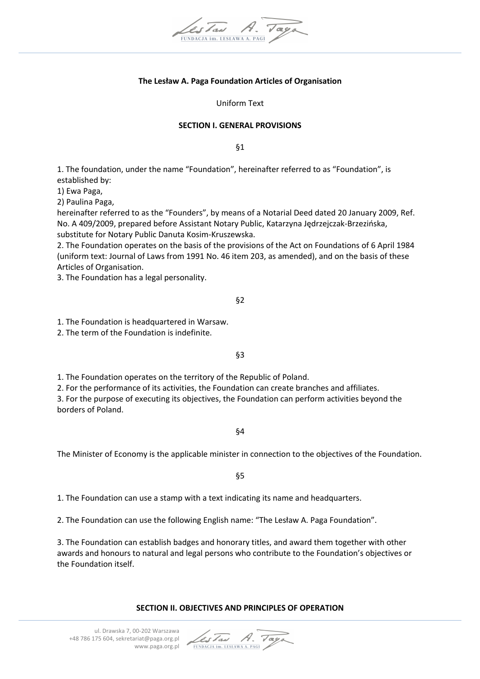

# **The Lesław A. Paga Foundation Articles of Organisation**

Uniform Text

#### **SECTION I. GENERAL PROVISIONS**

§1

1. The foundation, under the name "Foundation", hereinafter referred to as "Foundation", is established by:

1) Ewa Paga,

2) Paulina Paga,

hereinafter referred to as the "Founders", by means of a Notarial Deed dated 20 January 2009, Ref. No. A 409/2009, prepared before Assistant Notary Public, Katarzyna Jędrzejczak-Brzezińska, substitute for Notary Public Danuta Kosim-Kruszewska.

2. The Foundation operates on the basis of the provisions of the Act on Foundations of 6 April 1984 (uniform text: Journal of Laws from 1991 No. 46 item 203, as amended), and on the basis of these Articles of Organisation.

3. The Foundation has a legal personality.

#### §2

1. The Foundation is headquartered in Warsaw.

2. The term of the Foundation is indefinite.

§3

1. The Foundation operates on the territory of the Republic of Poland.

2. For the performance of its activities, the Foundation can create branches and affiliates.

3. For the purpose of executing its objectives, the Foundation can perform activities beyond the borders of Poland.

§4

The Minister of Economy is the applicable minister in connection to the objectives of the Foundation.

§5

1. The Foundation can use a stamp with a text indicating its name and headquarters.

2. The Foundation can use the following English name: "The Lesław A. Paga Foundation".

3. The Foundation can establish badges and honorary titles, and award them together with other awards and honours to natural and legal persons who contribute to the Foundation's objectives or the Foundation itself.

### **SECTION II. OBJECTIVES AND PRINCIPLES OF OPERATION**

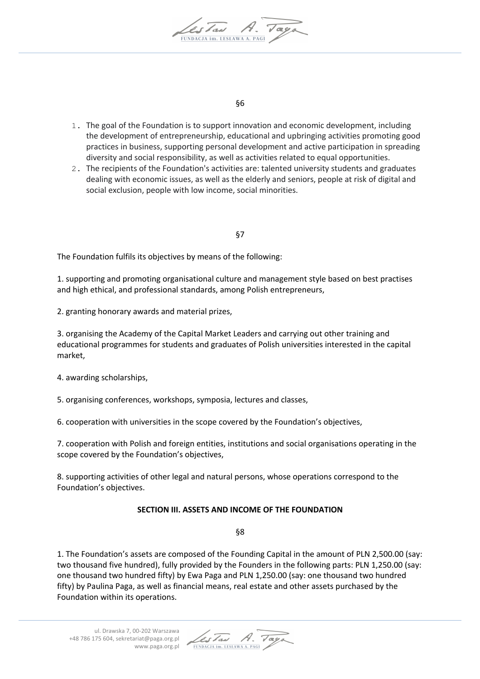

§6

- 1. The goal of the Foundation is to support innovation and economic development, including the development of entrepreneurship, educational and upbringing activities promoting good practices in business, supporting personal development and active participation in spreading diversity and social responsibility, as well as activities related to equal opportunities.
- 2. The recipients of the Foundation's activities are: talented university students and graduates dealing with economic issues, as well as the elderly and seniors, people at risk of digital and social exclusion, people with low income, social minorities.

# §7

The Foundation fulfils its objectives by means of the following:

1. supporting and promoting organisational culture and management style based on best practises and high ethical, and professional standards, among Polish entrepreneurs,

2. granting honorary awards and material prizes,

3. organising the Academy of the Capital Market Leaders and carrying out other training and educational programmes for students and graduates of Polish universities interested in the capital market,

4. awarding scholarships,

5. organising conferences, workshops, symposia, lectures and classes,

6. cooperation with universities in the scope covered by the Foundation's objectives,

7. cooperation with Polish and foreign entities, institutions and social organisations operating in the scope covered by the Foundation's objectives,

8. supporting activities of other legal and natural persons, whose operations correspond to the Foundation's objectives.

# **SECTION III. ASSETS AND INCOME OF THE FOUNDATION**

§8

1. The Foundation's assets are composed of the Founding Capital in the amount of PLN 2,500.00 (say: two thousand five hundred), fully provided by the Founders in the following parts: PLN 1,250.00 (say: one thousand two hundred fifty) by Ewa Paga and PLN 1,250.00 (say: one thousand two hundred fifty) by Paulina Paga, as well as financial means, real estate and other assets purchased by the Foundation within its operations.

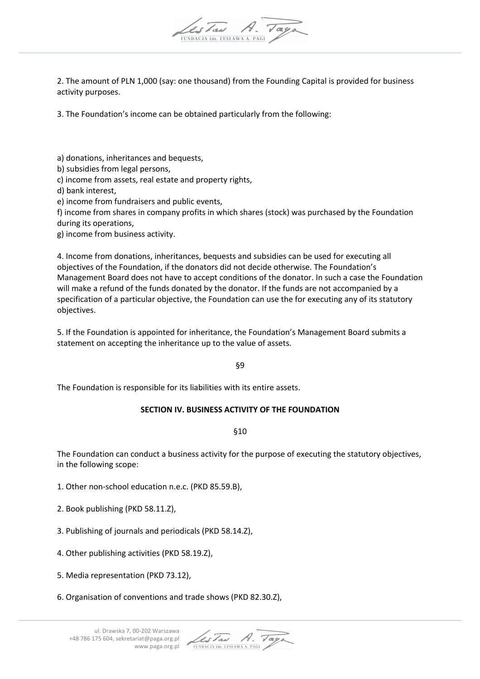

2. The amount of PLN 1,000 (say: one thousand) from the Founding Capital is provided for business activity purposes.

3. The Foundation's income can be obtained particularly from the following:

a) donations, inheritances and bequests,

b) subsidies from legal persons,

c) income from assets, real estate and property rights,

d) bank interest,

e) income from fundraisers and public events,

f) income from shares in company profits in which shares (stock) was purchased by the Foundation during its operations,

g) income from business activity.

4. Income from donations, inheritances, bequests and subsidies can be used for executing all objectives of the Foundation, if the donators did not decide otherwise. The Foundation's Management Board does not have to accept conditions of the donator. In such a case the Foundation will make a refund of the funds donated by the donator. If the funds are not accompanied by a specification of a particular objective, the Foundation can use the for executing any of its statutory objectives.

5. If the Foundation is appointed for inheritance, the Foundation's Management Board submits a statement on accepting the inheritance up to the value of assets.

§9

The Foundation is responsible for its liabilities with its entire assets.

# **SECTION IV. BUSINESS ACTIVITY OF THE FOUNDATION**

§10

The Foundation can conduct a business activity for the purpose of executing the statutory objectives, in the following scope:

1. Other non-school education n.e.c. (PKD 85.59.B),

2. Book publishing (PKD 58.11.Z),

3. Publishing of journals and periodicals (PKD 58.14.Z),

4. Other publishing activities (PKD 58.19.Z),

5. Media representation (PKD 73.12),

6. Organisation of conventions and trade shows (PKD 82.30.Z),

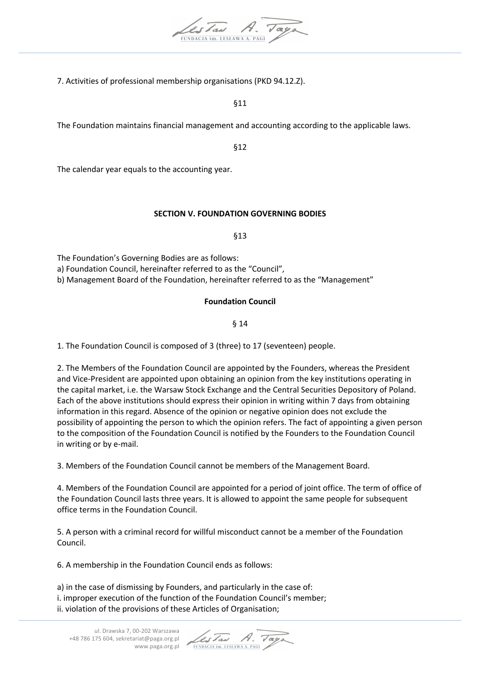

7. Activities of professional membership organisations (PKD 94.12.Z).

§11

The Foundation maintains financial management and accounting according to the applicable laws.

§12

The calendar year equals to the accounting year.

# **SECTION V. FOUNDATION GOVERNING BODIES**

§13

The Foundation's Governing Bodies are as follows:

a) Foundation Council, hereinafter referred to as the "Council",

b) Management Board of the Foundation, hereinafter referred to as the "Management"

# **Foundation Council**

§ 14

1. The Foundation Council is composed of 3 (three) to 17 (seventeen) people.

2. The Members of the Foundation Council are appointed by the Founders, whereas the President and Vice-President are appointed upon obtaining an opinion from the key institutions operating in the capital market, i.e. the Warsaw Stock Exchange and the Central Securities Depository of Poland. Each of the above institutions should express their opinion in writing within 7 days from obtaining information in this regard. Absence of the opinion or negative opinion does not exclude the possibility of appointing the person to which the opinion refers. The fact of appointing a given person to the composition of the Foundation Council is notified by the Founders to the Foundation Council in writing or by e-mail.

3. Members of the Foundation Council cannot be members of the Management Board.

4. Members of the Foundation Council are appointed for a period of joint office. The term of office of the Foundation Council lasts three years. It is allowed to appoint the same people for subsequent office terms in the Foundation Council.

5. A person with a criminal record for willful misconduct cannot be a member of the Foundation Council.

6. A membership in the Foundation Council ends as follows:

a) in the case of dismissing by Founders, and particularly in the case of: i. improper execution of the function of the Foundation Council's member; ii. violation of the provisions of these Articles of Organisation;

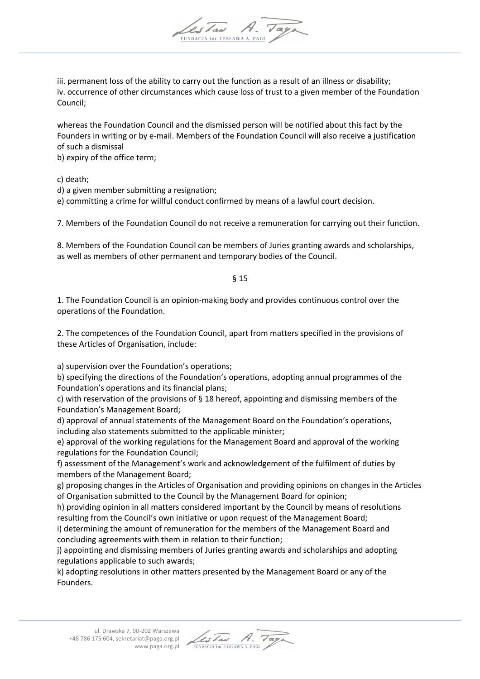

whereas the Foundation Council and the dismissed person will be notified about this fact by the Founders in writing or by e-mail. Members of the Foundation Council will also receive a justification of such a dismissal

b) expiry of the office term;

c) death;

d) a given member submitting a resignation;

e) committing a crime for willful conduct confirmed by means of a lawful court decision.

7. Members of the Foundation Council do not receive a remuneration for carrying out their function.

8. Members of the Foundation Council can be members of Juries granting awards and scholarships, as well as members of other permanent and temporary bodies of the Council.

§ 15

1. The Foundation Council is an opinion-making body and provides continuous control over the operations of the Foundation.

2. The competences of the Foundation Council, apart from matters specified in the provisions of these Articles of Organisation, include:

a) supervision over the Foundation's operations;

b) specifying the directions of the Foundation's operations, adopting annual programmes of the Foundation's operations and its financial plans;

c) with reservation of the provisions of § 18 hereof, appointing and dismissing members of the Foundation's Management Board;

d) approval of annual statements of the Management Board on the Foundation's operations, including also statements submitted to the applicable minister;

e) approval of the working regulations for the Management Board and approval of the working regulations for the Foundation Council;

f) assessment of the Management's work and acknowledgement of the fulfilment of duties by members of the Management Board;

g) proposing changes in the Articles of Organisation and providing opinions on changes in the Articles of Organisation submitted to the Council by the Management Board for opinion;

h) providing opinion in all matters considered important by the Council by means of resolutions resulting from the Council's own initiative or upon request of the Management Board;

i) determining the amount of remuneration for the members of the Management Board and concluding agreements with them in relation to their function;

j) appointing and dismissing members of Juries granting awards and scholarships and adopting regulations applicable to such awards;

k) adopting resolutions in other matters presented by the Management Board or any of the Founders.

Les Tau FUNDACJA im. LESŁAWA A. PAG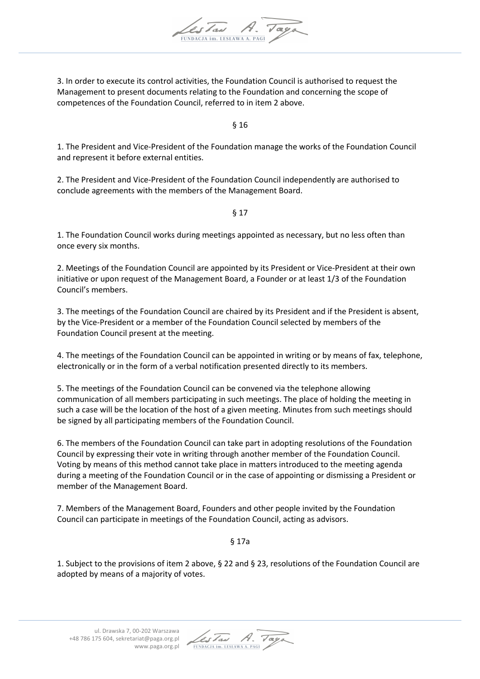

3. In order to execute its control activities, the Foundation Council is authorised to request the Management to present documents relating to the Foundation and concerning the scope of competences of the Foundation Council, referred to in item 2 above.

§ 16

1. The President and Vice-President of the Foundation manage the works of the Foundation Council and represent it before external entities.

2. The President and Vice-President of the Foundation Council independently are authorised to conclude agreements with the members of the Management Board.

§ 17

1. The Foundation Council works during meetings appointed as necessary, but no less often than once every six months.

2. Meetings of the Foundation Council are appointed by its President or Vice-President at their own initiative or upon request of the Management Board, a Founder or at least 1/3 of the Foundation Council's members.

3. The meetings of the Foundation Council are chaired by its President and if the President is absent, by the Vice-President or a member of the Foundation Council selected by members of the Foundation Council present at the meeting.

4. The meetings of the Foundation Council can be appointed in writing or by means of fax, telephone, electronically or in the form of a verbal notification presented directly to its members.

5. The meetings of the Foundation Council can be convened via the telephone allowing communication of all members participating in such meetings. The place of holding the meeting in such a case will be the location of the host of a given meeting. Minutes from such meetings should be signed by all participating members of the Foundation Council.

6. The members of the Foundation Council can take part in adopting resolutions of the Foundation Council by expressing their vote in writing through another member of the Foundation Council. Voting by means of this method cannot take place in matters introduced to the meeting agenda during a meeting of the Foundation Council or in the case of appointing or dismissing a President or member of the Management Board.

7. Members of the Management Board, Founders and other people invited by the Foundation Council can participate in meetings of the Foundation Council, acting as advisors.

§ 17a

1. Subject to the provisions of item 2 above, § 22 and § 23, resolutions of the Foundation Council are adopted by means of a majority of votes.

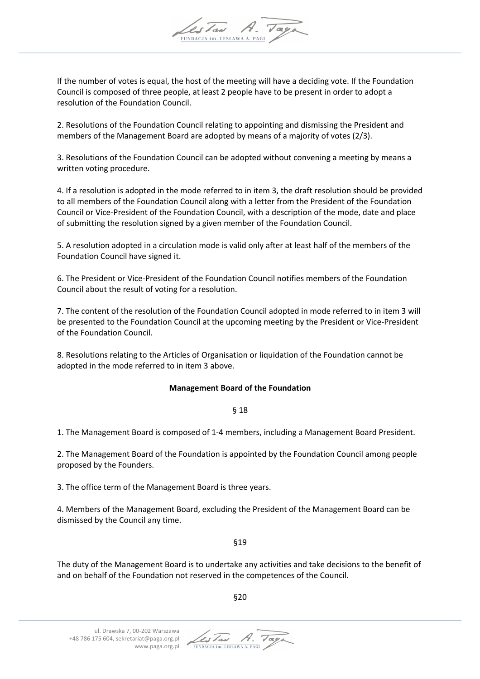

If the number of votes is equal, the host of the meeting will have a deciding vote. If the Foundation Council is composed of three people, at least 2 people have to be present in order to adopt a resolution of the Foundation Council.

2. Resolutions of the Foundation Council relating to appointing and dismissing the President and members of the Management Board are adopted by means of a majority of votes (2/3).

3. Resolutions of the Foundation Council can be adopted without convening a meeting by means a written voting procedure.

4. If a resolution is adopted in the mode referred to in item 3, the draft resolution should be provided to all members of the Foundation Council along with a letter from the President of the Foundation Council or Vice-President of the Foundation Council, with a description of the mode, date and place of submitting the resolution signed by a given member of the Foundation Council.

5. A resolution adopted in a circulation mode is valid only after at least half of the members of the Foundation Council have signed it.

6. The President or Vice-President of the Foundation Council notifies members of the Foundation Council about the result of voting for a resolution.

7. The content of the resolution of the Foundation Council adopted in mode referred to in item 3 will be presented to the Foundation Council at the upcoming meeting by the President or Vice-President of the Foundation Council.

8. Resolutions relating to the Articles of Organisation or liquidation of the Foundation cannot be adopted in the mode referred to in item 3 above.

### **Management Board of the Foundation**

§ 18

1. The Management Board is composed of 1-4 members, including a Management Board President.

2. The Management Board of the Foundation is appointed by the Foundation Council among people proposed by the Founders.

3. The office term of the Management Board is three years.

4. Members of the Management Board, excluding the President of the Management Board can be dismissed by the Council any time.

§19

The duty of the Management Board is to undertake any activities and take decisions to the benefit of and on behalf of the Foundation not reserved in the competences of the Council.

§20

LesTaw A. Tag FUNDACJA im. LESŁAWA A. PAGI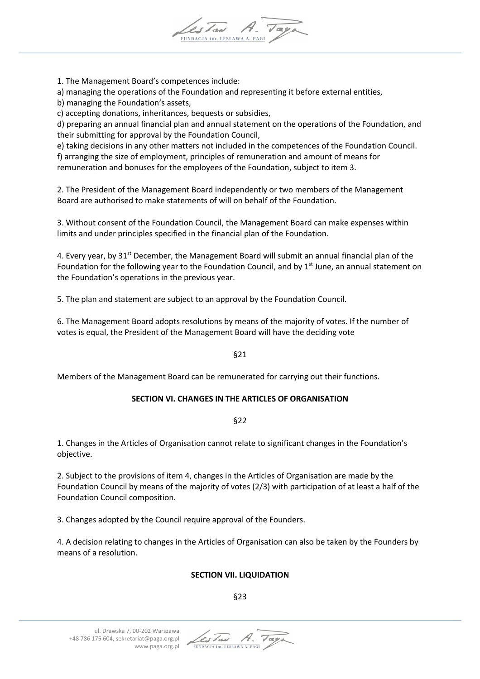

1. The Management Board's competences include:

a) managing the operations of the Foundation and representing it before external entities,

b) managing the Foundation's assets,

c) accepting donations, inheritances, bequests or subsidies,

d) preparing an annual financial plan and annual statement on the operations of the Foundation, and their submitting for approval by the Foundation Council,

e) taking decisions in any other matters not included in the competences of the Foundation Council. f) arranging the size of employment, principles of remuneration and amount of means for remuneration and bonuses for the employees of the Foundation, subject to item 3.

2. The President of the Management Board independently or two members of the Management Board are authorised to make statements of will on behalf of the Foundation.

3. Without consent of the Foundation Council, the Management Board can make expenses within limits and under principles specified in the financial plan of the Foundation.

4. Every year, by 31<sup>st</sup> December, the Management Board will submit an annual financial plan of the Foundation for the following year to the Foundation Council, and by  $1<sup>st</sup>$  June, an annual statement on the Foundation's operations in the previous year.

5. The plan and statement are subject to an approval by the Foundation Council.

6. The Management Board adopts resolutions by means of the majority of votes. If the number of votes is equal, the President of the Management Board will have the deciding vote

### §21

Members of the Management Board can be remunerated for carrying out their functions.

### **SECTION VI. CHANGES IN THE ARTICLES OF ORGANISATION**

§22

1. Changes in the Articles of Organisation cannot relate to significant changes in the Foundation's objective.

2. Subject to the provisions of item 4, changes in the Articles of Organisation are made by the Foundation Council by means of the majority of votes (2/3) with participation of at least a half of the Foundation Council composition.

3. Changes adopted by the Council require approval of the Founders.

4. A decision relating to changes in the Articles of Organisation can also be taken by the Founders by means of a resolution.

# **SECTION VII. LIQUIDATION**

# §23